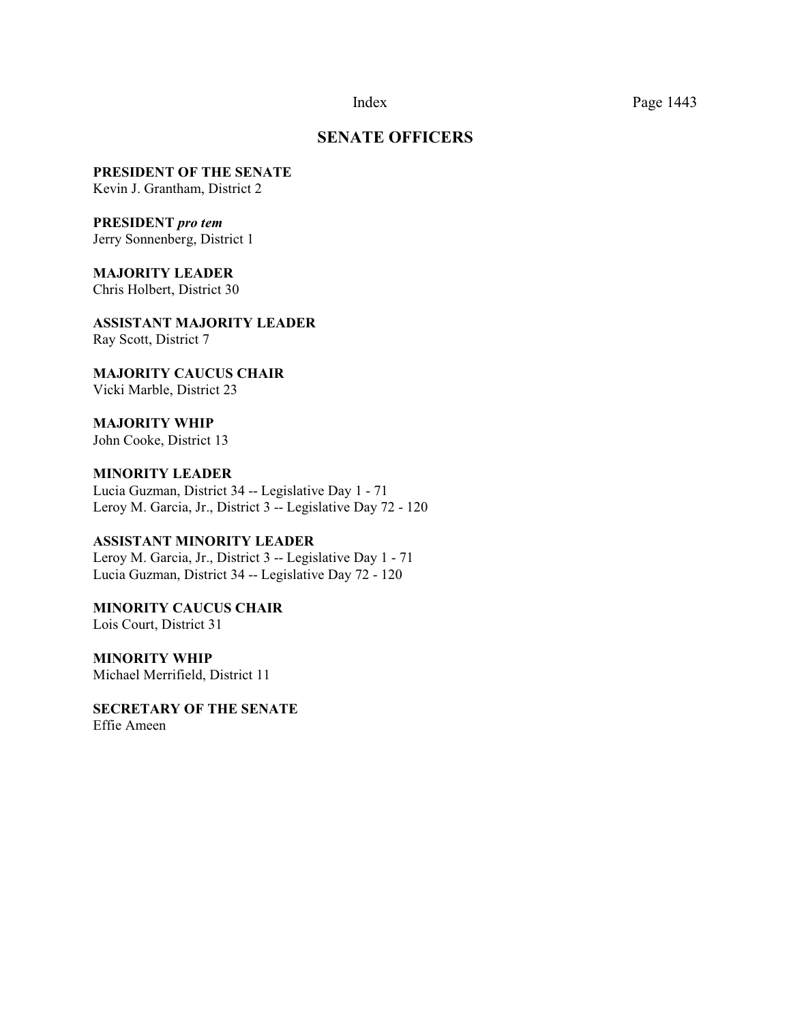#### Index Page 1443

### **SENATE OFFICERS**

**PRESIDENT OF THE SENATE**

Kevin J. Grantham, District 2

### **PRESIDENT** *pro tem*

Jerry Sonnenberg, District 1

**MAJORITY LEADER**  Chris Holbert, District 30

**ASSISTANT MAJORITY LEADER** Ray Scott, District 7

**MAJORITY CAUCUS CHAIR**  Vicki Marble, District 23

**MAJORITY WHIP** John Cooke, District 13

**MINORITY LEADER** Lucia Guzman, District 34 -- Legislative Day 1 - 71 Leroy M. Garcia, Jr., District 3 -- Legislative Day 72 - 120

### **ASSISTANT MINORITY LEADER**

Leroy M. Garcia, Jr., District 3 -- Legislative Day 1 - 71 Lucia Guzman, District 34 -- Legislative Day 72 - 120

**MINORITY CAUCUS CHAIR**  Lois Court, District 31

**MINORITY WHIP** Michael Merrifield, District 11

**SECRETARY OF THE SENATE** Effie Ameen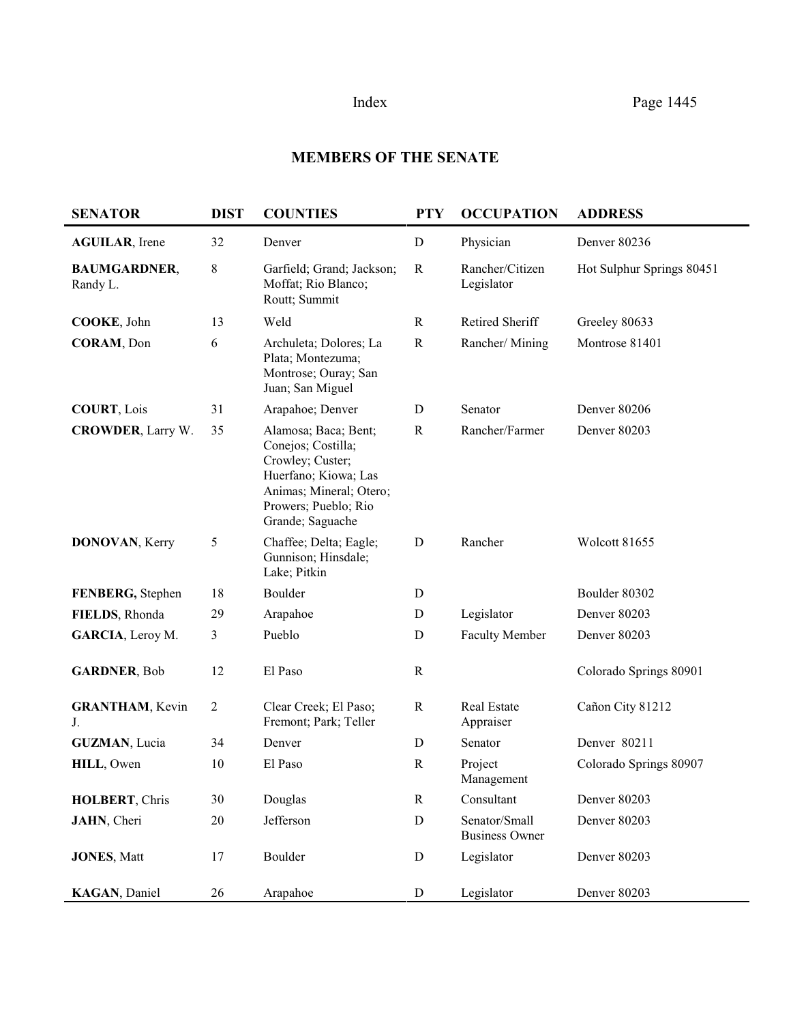# **MEMBERS OF THE SENATE**

| <b>SENATOR</b>                  | <b>DIST</b>    | <b>COUNTIES</b>                                                                                                                                               | <b>PTY</b>  | <b>OCCUPATION</b>                      | <b>ADDRESS</b>            |  |
|---------------------------------|----------------|---------------------------------------------------------------------------------------------------------------------------------------------------------------|-------------|----------------------------------------|---------------------------|--|
| <b>AGUILAR</b> , Irene          | 32             | Denver                                                                                                                                                        | $\mathbf D$ | Physician                              | Denver 80236              |  |
| <b>BAUMGARDNER,</b><br>Randy L. | 8              | Garfield; Grand; Jackson;<br>Moffat; Rio Blanco;<br>Routt; Summit                                                                                             | $\mathbf R$ | Rancher/Citizen<br>Legislator          | Hot Sulphur Springs 80451 |  |
| COOKE, John                     | 13             | Weld                                                                                                                                                          | $\mathbf R$ | Retired Sheriff                        | Greeley 80633             |  |
| CORAM, Don                      | 6              | Archuleta; Dolores; La<br>Plata; Montezuma;<br>Montrose; Ouray; San<br>Juan; San Miguel                                                                       | $\mathbf R$ | Rancher/Mining                         | Montrose 81401            |  |
| <b>COURT, Lois</b>              | 31             | Arapahoe; Denver                                                                                                                                              | D           | Senator                                | Denver 80206              |  |
| <b>CROWDER, Larry W.</b>        | 35             | Alamosa; Baca; Bent;<br>Conejos; Costilla;<br>Crowley; Custer;<br>Huerfano; Kiowa; Las<br>Animas; Mineral; Otero;<br>Prowers; Pueblo; Rio<br>Grande; Saguache | $\mathbf R$ | Rancher/Farmer                         | Denver 80203              |  |
| DONOVAN, Kerry                  | 5              | Chaffee; Delta; Eagle;<br>Gunnison; Hinsdale;<br>Lake; Pitkin                                                                                                 | D           | Rancher                                | Wolcott 81655             |  |
| FENBERG, Stephen                | 18             | Boulder                                                                                                                                                       | D           |                                        | Boulder 80302             |  |
| FIELDS, Rhonda                  | 29             | Arapahoe                                                                                                                                                      | D           | Legislator                             | Denver 80203              |  |
| GARCIA, Leroy M.                | 3              | Pueblo                                                                                                                                                        | D           | <b>Faculty Member</b>                  | Denver 80203              |  |
| <b>GARDNER, Bob</b>             | 12             | El Paso                                                                                                                                                       | $\mathbf R$ |                                        | Colorado Springs 80901    |  |
| <b>GRANTHAM</b> , Kevin<br>J.   | $\overline{c}$ | Clear Creek; El Paso;<br>Fremont; Park; Teller                                                                                                                | $\mathbf R$ | Real Estate<br>Appraiser               | Cañon City 81212          |  |
| <b>GUZMAN, Lucia</b>            | 34             | Denver                                                                                                                                                        | D           | Senator                                | Denver 80211              |  |
| HILL, Owen                      | 10             | El Paso                                                                                                                                                       | $\mathbf R$ | Project<br>Management                  | Colorado Springs 80907    |  |
| HOLBERT, Chris                  | 30             | Douglas                                                                                                                                                       | $\mathbf R$ | Consultant                             | Denver 80203              |  |
| JAHN, Cheri                     | 20             | Jefferson                                                                                                                                                     | $\mathbf D$ | Senator/Small<br><b>Business Owner</b> | Denver 80203              |  |
| <b>JONES, Matt</b>              | 17             | Boulder                                                                                                                                                       | ${\bf D}$   | Legislator                             | Denver 80203              |  |
| KAGAN, Daniel                   | 26             | Arapahoe                                                                                                                                                      | ${\rm D}$   | Legislator                             | Denver 80203              |  |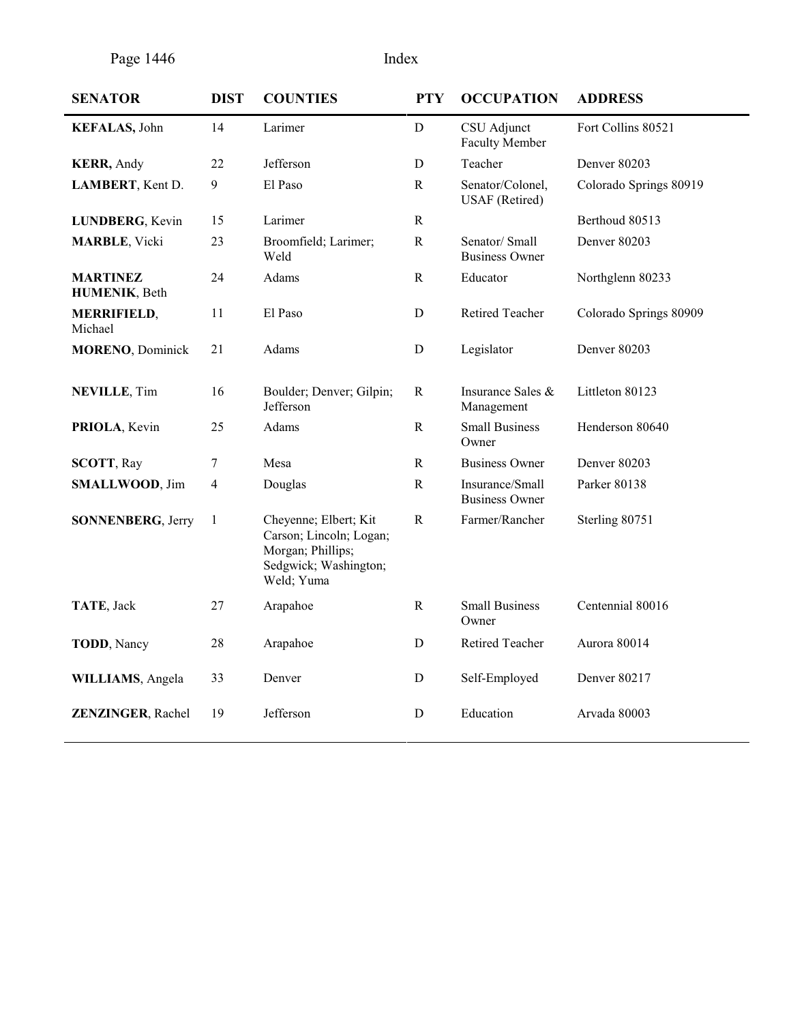Page 1446 Index

| <b>SENATOR</b>                   | <b>DIST</b> | <b>COUNTIES</b>                                                                                              | <b>PTY</b>   | <b>OCCUPATION</b>                         | <b>ADDRESS</b>         |
|----------------------------------|-------------|--------------------------------------------------------------------------------------------------------------|--------------|-------------------------------------------|------------------------|
| <b>KEFALAS</b> , John            | 14          | Larimer                                                                                                      | D            | CSU Adjunct<br><b>Faculty Member</b>      | Fort Collins 80521     |
| <b>KERR</b> , Andy               | 22          | Jefferson                                                                                                    | D            | Teacher                                   | Denver 80203           |
| LAMBERT, Kent D.                 | 9           | El Paso                                                                                                      | $\mathbf R$  | Senator/Colonel,<br><b>USAF</b> (Retired) | Colorado Springs 80919 |
| LUNDBERG, Kevin                  | 15          | Larimer                                                                                                      | $\mathbf R$  |                                           | Berthoud 80513         |
| <b>MARBLE, Vicki</b>             | 23          | Broomfield; Larimer;<br>Weld                                                                                 | ${\bf R}$    | Senator/Small<br><b>Business Owner</b>    | <b>Denver 80203</b>    |
| <b>MARTINEZ</b><br>HUMENIK, Beth | 24          | Adams                                                                                                        | $\mathbf R$  | Educator                                  | Northglenn 80233       |
| <b>MERRIFIELD,</b><br>Michael    | 11          | El Paso                                                                                                      | D            | Retired Teacher                           | Colorado Springs 80909 |
| <b>MORENO, Dominick</b>          | 21          | Adams                                                                                                        | $\mathbf D$  | Legislator                                | Denver 80203           |
| <b>NEVILLE, Tim</b>              | 16          | Boulder; Denver; Gilpin;<br>Jefferson                                                                        | $\mathbf R$  | Insurance Sales &<br>Management           | Littleton 80123        |
| PRIOLA, Kevin                    | 25          | Adams                                                                                                        | $\mathbf R$  | <b>Small Business</b><br>Owner            | Henderson 80640        |
| <b>SCOTT, Ray</b>                | $\tau$      | Mesa                                                                                                         | $\mathbf R$  | <b>Business Owner</b>                     | <b>Denver 80203</b>    |
| <b>SMALLWOOD, Jim</b>            | 4           | Douglas                                                                                                      | $\mathbb{R}$ | Insurance/Small<br><b>Business Owner</b>  | Parker 80138           |
| <b>SONNENBERG, Jerry</b>         | 1           | Cheyenne; Elbert; Kit<br>Carson; Lincoln; Logan;<br>Morgan; Phillips;<br>Sedgwick; Washington;<br>Weld; Yuma | ${\bf R}$    | Farmer/Rancher                            | Sterling 80751         |
| TATE, Jack                       | 27          | Arapahoe                                                                                                     | ${\bf R}$    | <b>Small Business</b><br>Owner            | Centennial 80016       |
| <b>TODD</b> , Nancy              | 28          | Arapahoe                                                                                                     | D            | Retired Teacher                           | Aurora 80014           |
| WILLIAMS, Angela                 | 33          | Denver                                                                                                       | D            | Self-Employed                             | Denver 80217           |
| <b>ZENZINGER, Rachel</b>         | 19          | Jefferson                                                                                                    | D            | Education                                 | Arvada 80003           |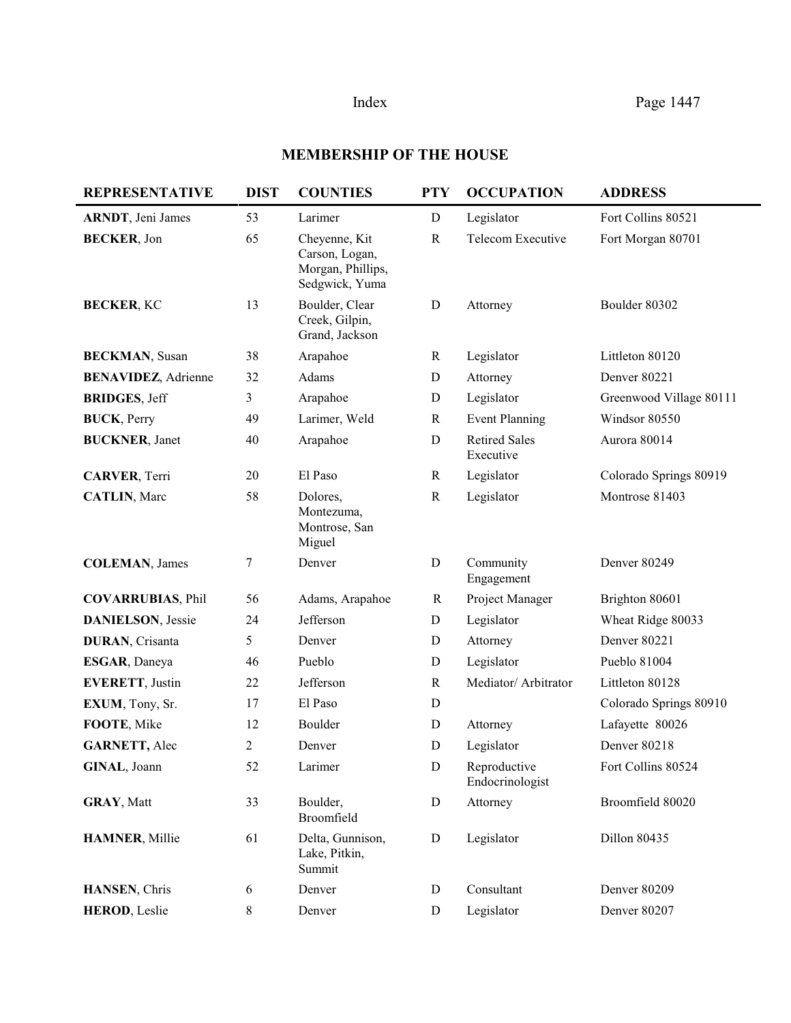# **MEMBERSHIP OF THE HOUSE**

| <b>REPRESENTATIVE</b>       | <b>DIST</b> | <b>COUNTIES</b>                                                        | <b>PTY</b>   | <b>OCCUPATION</b>                 | <b>ADDRESS</b>          |
|-----------------------------|-------------|------------------------------------------------------------------------|--------------|-----------------------------------|-------------------------|
| <b>ARNDT</b> , Jeni James   | 53          | Larimer                                                                | D            | Legislator                        | Fort Collins 80521      |
| <b>BECKER, Jon</b>          | 65          | Cheyenne, Kit<br>Carson, Logan,<br>Morgan, Phillips,<br>Sedgwick, Yuma | $\mathbb{R}$ | Telecom Executive                 | Fort Morgan 80701       |
| <b>BECKER, KC</b>           | 13          | Boulder, Clear<br>Creek, Gilpin,<br>Grand, Jackson                     | ${\bf D}$    | Attorney                          | Boulder 80302           |
| <b>BECKMAN, Susan</b>       | 38          | Arapahoe                                                               | $\mathbf R$  | Legislator                        | Littleton 80120         |
| <b>BENAVIDEZ</b> , Adrienne | 32          | Adams                                                                  | D            | Attorney                          | Denver 80221            |
| <b>BRIDGES, Jeff</b>        | 3           | Arapahoe                                                               | D            | Legislator                        | Greenwood Village 80111 |
| <b>BUCK</b> , Perry         | 49          | Larimer, Weld                                                          | $\mathbf R$  | <b>Event Planning</b>             | Windsor 80550           |
| <b>BUCKNER</b> , Janet      | 40          | Arapahoe                                                               | $\mathbf D$  | <b>Retired Sales</b><br>Executive | Aurora 80014            |
| <b>CARVER, Terri</b>        | 20          | El Paso                                                                | $\mathbf R$  | Legislator                        | Colorado Springs 80919  |
| <b>CATLIN, Marc</b>         | 58          | Dolores,<br>Montezuma,<br>Montrose, San<br>Miguel                      | $\mathbf R$  | Legislator                        | Montrose 81403          |
| <b>COLEMAN, James</b>       | 7           | Denver                                                                 | ${\bf D}$    | Community<br>Engagement           | Denver 80249            |
| <b>COVARRUBIAS, Phil</b>    | 56          | Adams, Arapahoe                                                        | R            | Project Manager                   | Brighton 80601          |
| <b>DANIELSON</b> , Jessie   | 24          | Jefferson                                                              | ${\bf D}$    | Legislator                        | Wheat Ridge 80033       |
| <b>DURAN, Crisanta</b>      | 5           | Denver                                                                 | D            | Attorney                          | <b>Denver 80221</b>     |
| ESGAR, Daneya               | 46          | Pueblo                                                                 | D            | Legislator                        | Pueblo 81004            |
| <b>EVERETT, Justin</b>      | 22          | Jefferson                                                              | $\mathbf R$  | Mediator/ Arbitrator              | Littleton 80128         |
| EXUM, Tony, Sr.             | 17          | El Paso                                                                | D            |                                   | Colorado Springs 80910  |
| FOOTE, Mike                 | 12          | Boulder                                                                | D            | Attorney                          | Lafayette 80026         |
| <b>GARNETT, Alec</b>        | 2           | Denver                                                                 | D            | Legislator                        | Denver 80218            |
| GINAL, Joann                | 52          | Larimer                                                                | ${\bf D}$    | Reproductive<br>Endocrinologist   | Fort Collins 80524      |
| <b>GRAY, Matt</b>           | 33          | Boulder,<br>Broomfield                                                 | ${\bf D}$    | Attorney                          | Broomfield 80020        |
| <b>HAMNER, Millie</b>       | 61          | Delta, Gunnison,<br>Lake, Pitkin,<br>Summit                            | ${\bf D}$    | Legislator                        | Dillon 80435            |
| HANSEN, Chris               | 6           | Denver                                                                 | D            | Consultant                        | Denver 80209            |
| <b>HEROD, Leslie</b>        | 8           | Denver                                                                 | ${\bf D}$    | Legislator                        | Denver 80207            |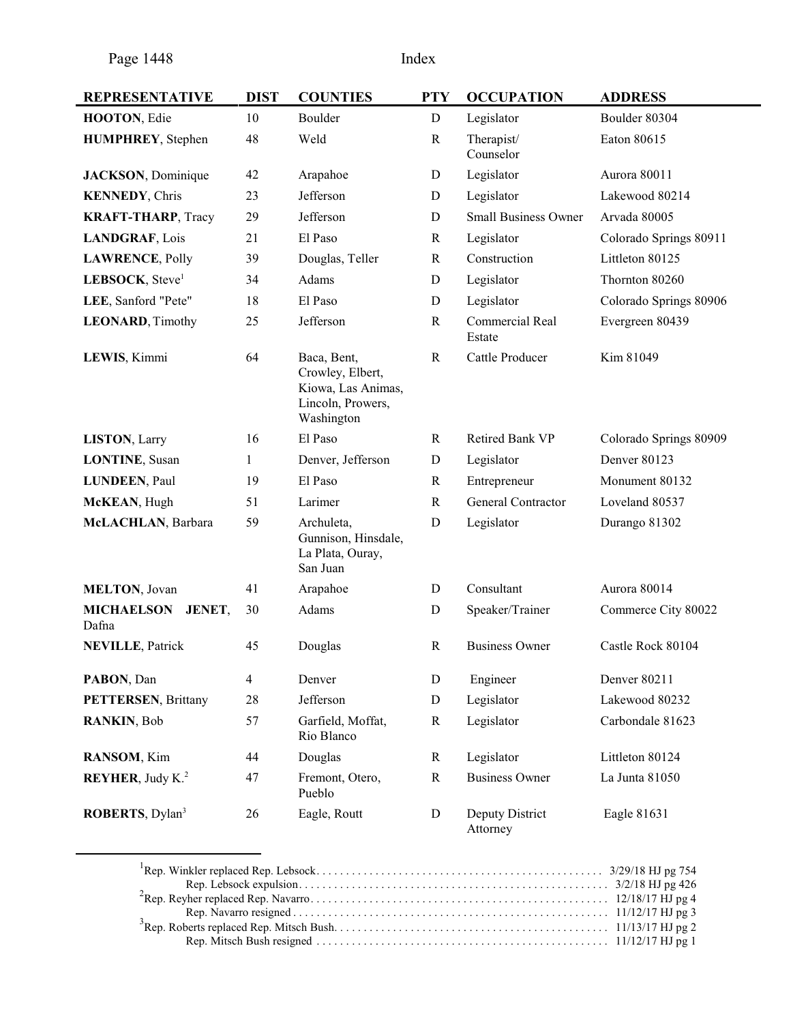| <b>REPRESENTATIVE</b>                       | <b>DIST</b>    | <b>COUNTIES</b>                                                                          | <b>PTY</b>  | <b>OCCUPATION</b>           | <b>ADDRESS</b>         |
|---------------------------------------------|----------------|------------------------------------------------------------------------------------------|-------------|-----------------------------|------------------------|
| HOOTON, Edie                                | 10             | Boulder                                                                                  | $\mathbf D$ | Legislator                  | Boulder 80304          |
| <b>HUMPHREY</b> , Stephen                   | 48             | Weld                                                                                     | $\mathbf R$ | Therapist/<br>Counselor     | Eaton 80615            |
| <b>JACKSON</b> , Dominique                  | 42             | Arapahoe                                                                                 | D           | Legislator                  | Aurora 80011           |
| <b>KENNEDY, Chris</b>                       | 23             | Jefferson                                                                                | D           | Legislator                  | Lakewood 80214         |
| <b>KRAFT-THARP</b> , Tracy                  | 29             | Jefferson                                                                                | D           | <b>Small Business Owner</b> | Arvada 80005           |
| LANDGRAF, Lois                              | 21             | El Paso                                                                                  | $\mathbf R$ | Legislator                  | Colorado Springs 80911 |
| <b>LAWRENCE, Polly</b>                      | 39             | Douglas, Teller                                                                          | $\mathbf R$ | Construction                | Littleton 80125        |
| LEBSOCK, Steve <sup>1</sup>                 | 34             | Adams                                                                                    | D           | Legislator                  | Thornton 80260         |
| LEE, Sanford "Pete"                         | 18             | El Paso                                                                                  | D           | Legislator                  | Colorado Springs 80906 |
| <b>LEONARD, Timothy</b>                     | 25             | Jefferson                                                                                | $\mathbf R$ | Commercial Real<br>Estate   | Evergreen 80439        |
| LEWIS, Kimmi                                | 64             | Baca, Bent,<br>Crowley, Elbert,<br>Kiowa, Las Animas,<br>Lincoln, Prowers,<br>Washington | $\mathbf R$ | Cattle Producer             | Kim 81049              |
| <b>LISTON, Larry</b>                        | 16             | El Paso                                                                                  | R           | Retired Bank VP             | Colorado Springs 80909 |
| <b>LONTINE, Susan</b>                       | 1              | Denver, Jefferson                                                                        | $\mathbf D$ | Legislator                  | Denver 80123           |
| <b>LUNDEEN, Paul</b>                        | 19             | El Paso                                                                                  | $\mathbf R$ | Entrepreneur                | Monument 80132         |
| McKEAN, Hugh                                | 51             | Larimer                                                                                  | $\mathbf R$ | General Contractor          | Loveland 80537         |
| McLACHLAN, Barbara                          | 59             | Archuleta,<br>Gunnison, Hinsdale,<br>La Plata, Ouray,<br>San Juan                        | D           | Legislator                  | Durango 81302          |
| <b>MELTON, Jovan</b>                        | 41             | Arapahoe                                                                                 | D           | Consultant                  | Aurora 80014           |
| <b>MICHAELSON</b><br><b>JENET,</b><br>Dafna | 30             | Adams                                                                                    | D           | Speaker/Trainer             | Commerce City 80022    |
| <b>NEVILLE, Patrick</b>                     | 45             | Douglas                                                                                  | R           | <b>Business Owner</b>       | Castle Rock 80104      |
| PABON, Dan                                  | $\overline{4}$ | Denver                                                                                   | D           | Engineer                    | Denver 80211           |
| <b>PETTERSEN, Brittany</b>                  | $28\,$         | Jefferson                                                                                | ${\bf D}$   | Legislator                  | Lakewood 80232         |
| RANKIN, Bob                                 | 57             | Garfield, Moffat,<br>Rio Blanco                                                          | $\mathbf R$ | Legislator                  | Carbondale 81623       |
| RANSOM, Kim                                 | 44             | Douglas                                                                                  | $\mathbf R$ | Legislator                  | Littleton 80124        |
| <b>REYHER</b> , Judy K. <sup>2</sup>        | 47             | Fremont, Otero,<br>Pueblo                                                                | $\mathbf R$ | <b>Business Owner</b>       | La Junta 81050         |
| ROBERTS, Dylan <sup>3</sup>                 | 26             | Eagle, Routt                                                                             | ${\bf D}$   | Deputy District<br>Attorney | Eagle 81631            |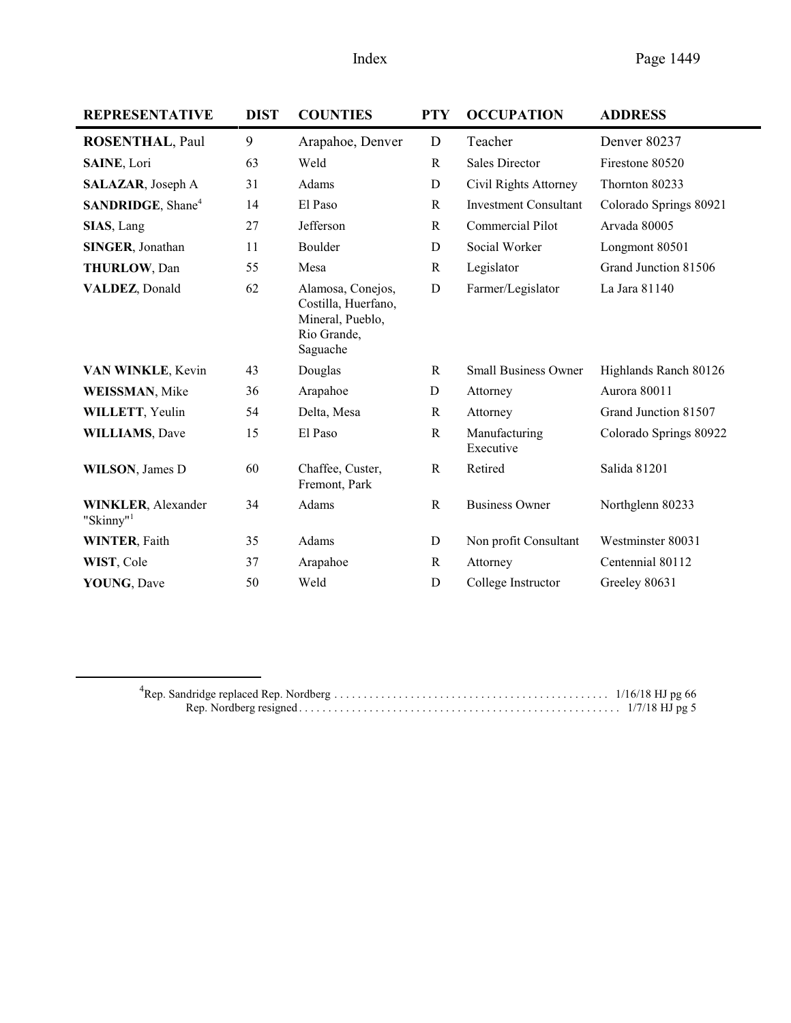| <b>REPRESENTATIVE</b>                              | <b>DIST</b> | <b>COUNTIES</b>                                                                         | <b>PTY</b>   | <b>OCCUPATION</b>            | <b>ADDRESS</b>         |
|----------------------------------------------------|-------------|-----------------------------------------------------------------------------------------|--------------|------------------------------|------------------------|
| <b>ROSENTHAL, Paul</b>                             | 9           | Arapahoe, Denver                                                                        | D            | Teacher                      | Denver 80237           |
| SAINE, Lori                                        | 63          | Weld                                                                                    | $\mathbb{R}$ | <b>Sales Director</b>        | Firestone 80520        |
| SALAZAR, Joseph A                                  | 31          | Adams                                                                                   | D            | Civil Rights Attorney        | Thornton 80233         |
| SANDRIDGE, Shane <sup>4</sup>                      | 14          | El Paso                                                                                 | $\mathbb{R}$ | <b>Investment Consultant</b> | Colorado Springs 80921 |
| SIAS, Lang                                         | 27          | Jefferson                                                                               | $\mathbb{R}$ | Commercial Pilot             | Arvada 80005           |
| SINGER, Jonathan                                   | 11          | Boulder                                                                                 | D            | Social Worker                | Longmont 80501         |
| <b>THURLOW, Dan</b>                                | 55          | Mesa                                                                                    | $\mathbf R$  | Legislator                   | Grand Junction 81506   |
| VALDEZ, Donald                                     | 62          | Alamosa, Conejos,<br>Costilla, Huerfano,<br>Mineral, Pueblo,<br>Rio Grande,<br>Saguache | D            | Farmer/Legislator            | La Jara 81140          |
| VAN WINKLE, Kevin                                  | 43          | Douglas                                                                                 | R            | <b>Small Business Owner</b>  | Highlands Ranch 80126  |
| <b>WEISSMAN</b> , Mike                             | 36          | Arapahoe                                                                                | D            | Attorney                     | Aurora 80011           |
| WILLETT, Yeulin                                    | 54          | Delta, Mesa                                                                             | $\mathbf R$  | Attorney                     | Grand Junction 81507   |
| <b>WILLIAMS, Dave</b>                              | 15          | El Paso                                                                                 | ${\bf R}$    | Manufacturing<br>Executive   | Colorado Springs 80922 |
| <b>WILSON</b> , James D                            | 60          | Chaffee, Custer,<br>Fremont, Park                                                       | ${\bf R}$    | Retired                      | Salida 81201           |
| <b>WINKLER, Alexander</b><br>"Skinny" <sup>1</sup> | 34          | Adams                                                                                   | $\mathbf R$  | <b>Business Owner</b>        | Northglenn 80233       |
| <b>WINTER, Faith</b>                               | 35          | Adams                                                                                   | D            | Non profit Consultant        | Westminster 80031      |
| WIST, Cole                                         | 37          | Arapahoe                                                                                | $\mathbb{R}$ | Attorney                     | Centennial 80112       |
| YOUNG, Dave                                        | 50          | Weld                                                                                    | D            | College Instructor           | Greeley 80631          |

4 Rep. Sandridge replaced Rep. Nordberg . . . . . . . . . . . . . . . . . . . . . . . . . . . . . . . . . . . . . . . . . . . . . . . 1/16/18 HJ pg 66 Rep. Nordberg resigned . . . . . . . . . . . . . . . . . . . . . . . . . . . . . . . . . . . . . . . . . . . . . . . . . . . . . . . 1/7/18 HJ pg 5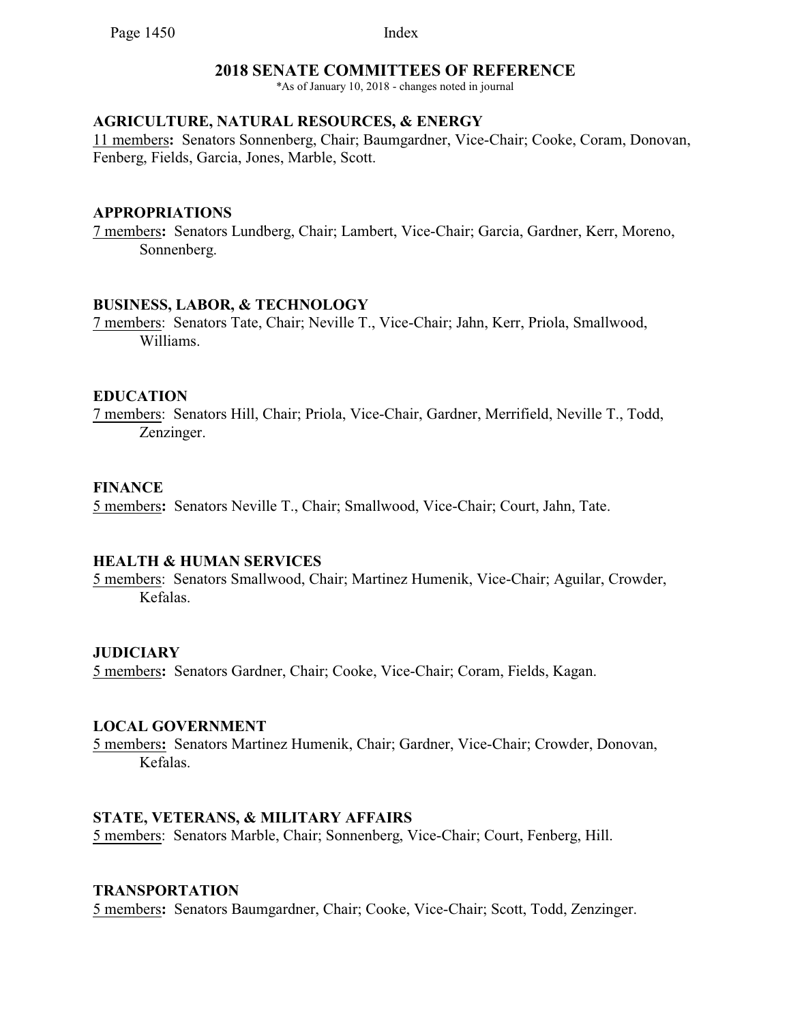### **2018 SENATE COMMITTEES OF REFERENCE**

\*As of January 10, 2018 - changes noted in journal

### **AGRICULTURE, NATURAL RESOURCES, & ENERGY**

11 members**:** Senators Sonnenberg, Chair; Baumgardner, Vice-Chair; Cooke, Coram, Donovan, Fenberg, Fields, Garcia, Jones, Marble, Scott.

#### **APPROPRIATIONS**

7 members**:** Senators Lundberg, Chair; Lambert, Vice-Chair; Garcia, Gardner, Kerr, Moreno, Sonnenberg.

#### **BUSINESS, LABOR, & TECHNOLOGY**

7 members: Senators Tate, Chair; Neville T., Vice-Chair; Jahn, Kerr, Priola, Smallwood, Williams.

#### **EDUCATION**

7 members: Senators Hill, Chair; Priola, Vice-Chair, Gardner, Merrifield, Neville T., Todd, Zenzinger.

#### **FINANCE**

5 members**:** Senators Neville T., Chair; Smallwood, Vice-Chair; Court, Jahn, Tate.

#### **HEALTH & HUMAN SERVICES**

5 members: Senators Smallwood, Chair; Martinez Humenik, Vice-Chair; Aguilar, Crowder, Kefalas.

### **JUDICIARY**

5 members**:** Senators Gardner, Chair; Cooke, Vice-Chair; Coram, Fields, Kagan.

#### **LOCAL GOVERNMENT**

5 members**:** Senators Martinez Humenik, Chair; Gardner, Vice-Chair; Crowder, Donovan, Kefalas.

#### **STATE, VETERANS, & MILITARY AFFAIRS**

5 members: Senators Marble, Chair; Sonnenberg, Vice-Chair; Court, Fenberg, Hill.

#### **TRANSPORTATION**

5 members**:** Senators Baumgardner, Chair; Cooke, Vice-Chair; Scott, Todd, Zenzinger.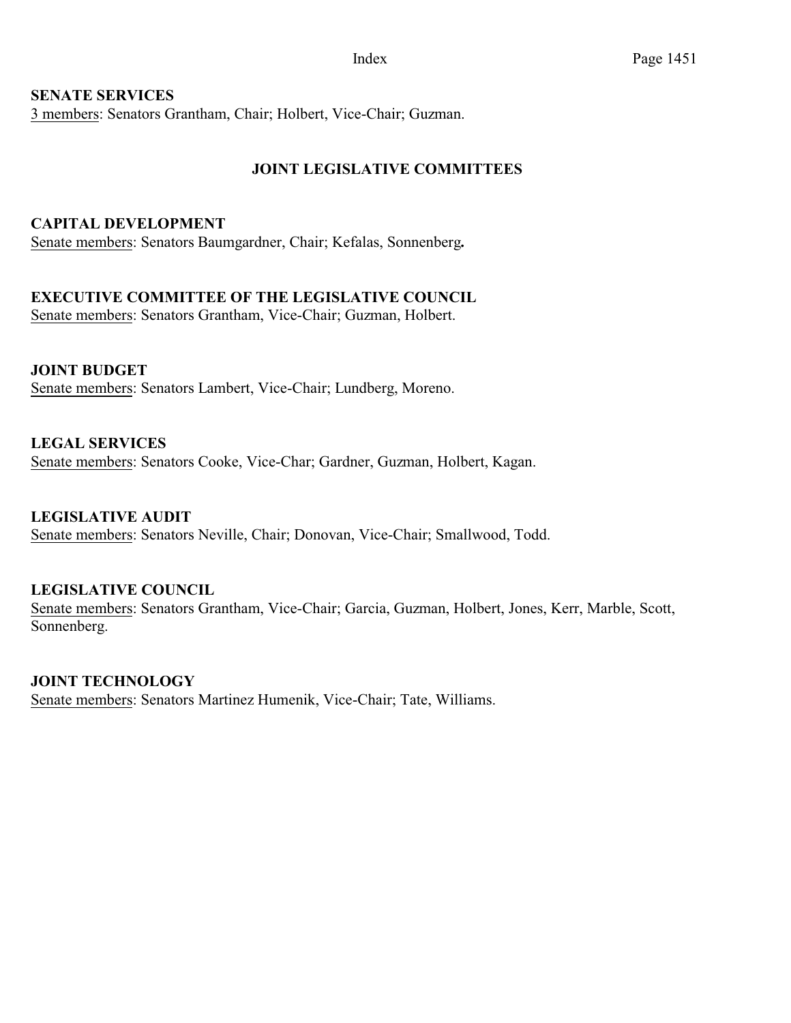# **SENATE SERVICES**

3 members: Senators Grantham, Chair; Holbert, Vice-Chair; Guzman.

# **JOINT LEGISLATIVE COMMITTEES**

### **CAPITAL DEVELOPMENT**

Senate members: Senators Baumgardner, Chair; Kefalas, Sonnenberg**.**

# **EXECUTIVE COMMITTEE OF THE LEGISLATIVE COUNCIL**

Senate members: Senators Grantham, Vice-Chair; Guzman, Holbert.

#### **JOINT BUDGET** Senate members: Senators Lambert, Vice-Chair; Lundberg, Moreno.

# **LEGAL SERVICES** Senate members: Senators Cooke, Vice-Char; Gardner, Guzman, Holbert, Kagan.

**LEGISLATIVE AUDIT**  Senate members: Senators Neville, Chair; Donovan, Vice-Chair; Smallwood, Todd.

# **LEGISLATIVE COUNCIL**

Senate members: Senators Grantham, Vice-Chair; Garcia, Guzman, Holbert, Jones, Kerr, Marble, Scott, Sonnenberg.

# **JOINT TECHNOLOGY**

Senate members: Senators Martinez Humenik, Vice-Chair; Tate, Williams.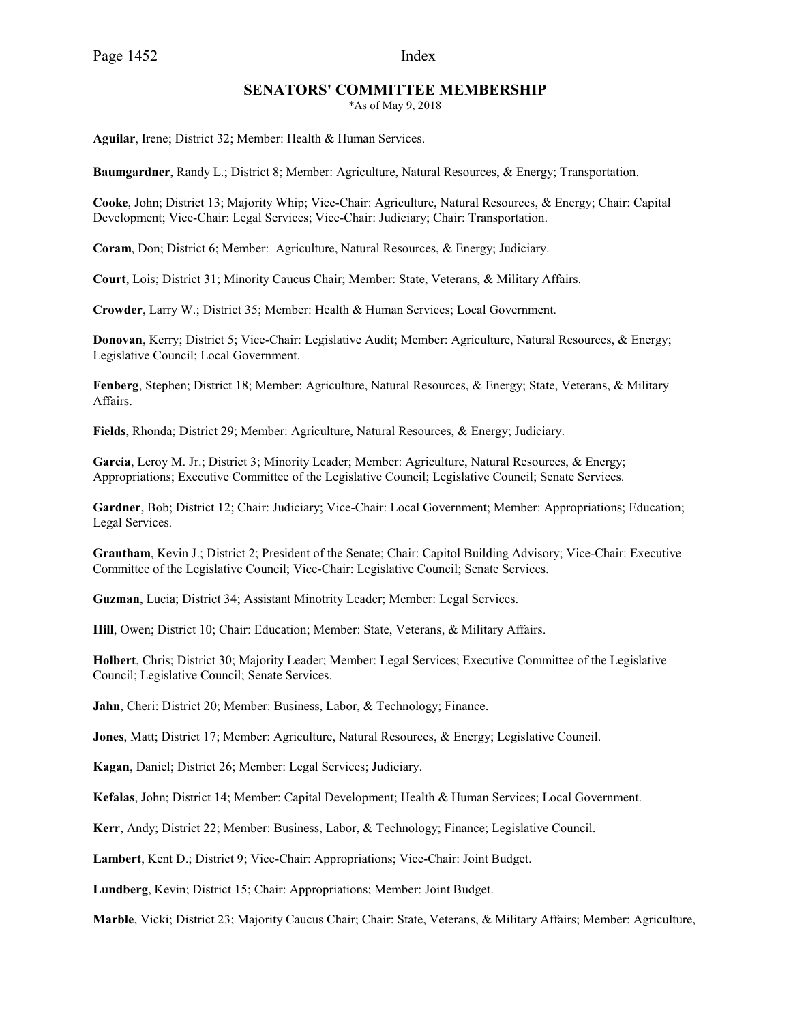#### **SENATORS' COMMITTEE MEMBERSHIP**

\*As of May 9, 2018

**Aguilar**, Irene; District 32; Member: Health & Human Services.

**Baumgardner**, Randy L.; District 8; Member: Agriculture, Natural Resources, & Energy; Transportation.

**Cooke**, John; District 13; Majority Whip; Vice-Chair: Agriculture, Natural Resources, & Energy; Chair: Capital Development; Vice-Chair: Legal Services; Vice-Chair: Judiciary; Chair: Transportation.

**Coram**, Don; District 6; Member: Agriculture, Natural Resources, & Energy; Judiciary.

**Court**, Lois; District 31; Minority Caucus Chair; Member: State, Veterans, & Military Affairs.

**Crowder**, Larry W.; District 35; Member: Health & Human Services; Local Government.

**Donovan**, Kerry; District 5; Vice-Chair: Legislative Audit; Member: Agriculture, Natural Resources, & Energy; Legislative Council; Local Government.

**Fenberg**, Stephen; District 18; Member: Agriculture, Natural Resources, & Energy; State, Veterans, & Military Affairs.

**Fields**, Rhonda; District 29; Member: Agriculture, Natural Resources, & Energy; Judiciary.

**Garcia**, Leroy M. Jr.; District 3; Minority Leader; Member: Agriculture, Natural Resources, & Energy; Appropriations; Executive Committee of the Legislative Council; Legislative Council; Senate Services.

**Gardner**, Bob; District 12; Chair: Judiciary; Vice-Chair: Local Government; Member: Appropriations; Education; Legal Services.

**Grantham**, Kevin J.; District 2; President of the Senate; Chair: Capitol Building Advisory; Vice-Chair: Executive Committee of the Legislative Council; Vice-Chair: Legislative Council; Senate Services.

**Guzman**, Lucia; District 34; Assistant Minotrity Leader; Member: Legal Services.

**Hill**, Owen; District 10; Chair: Education; Member: State, Veterans, & Military Affairs.

**Holbert**, Chris; District 30; Majority Leader; Member: Legal Services; Executive Committee of the Legislative Council; Legislative Council; Senate Services.

**Jahn**, Cheri: District 20; Member: Business, Labor, & Technology; Finance.

**Jones**, Matt; District 17; Member: Agriculture, Natural Resources, & Energy; Legislative Council.

**Kagan**, Daniel; District 26; Member: Legal Services; Judiciary.

**Kefalas**, John; District 14; Member: Capital Development; Health & Human Services; Local Government.

**Kerr**, Andy; District 22; Member: Business, Labor, & Technology; Finance; Legislative Council.

**Lambert**, Kent D.; District 9; Vice-Chair: Appropriations; Vice-Chair: Joint Budget.

**Lundberg**, Kevin; District 15; Chair: Appropriations; Member: Joint Budget.

**Marble**, Vicki; District 23; Majority Caucus Chair; Chair: State, Veterans, & Military Affairs; Member: Agriculture,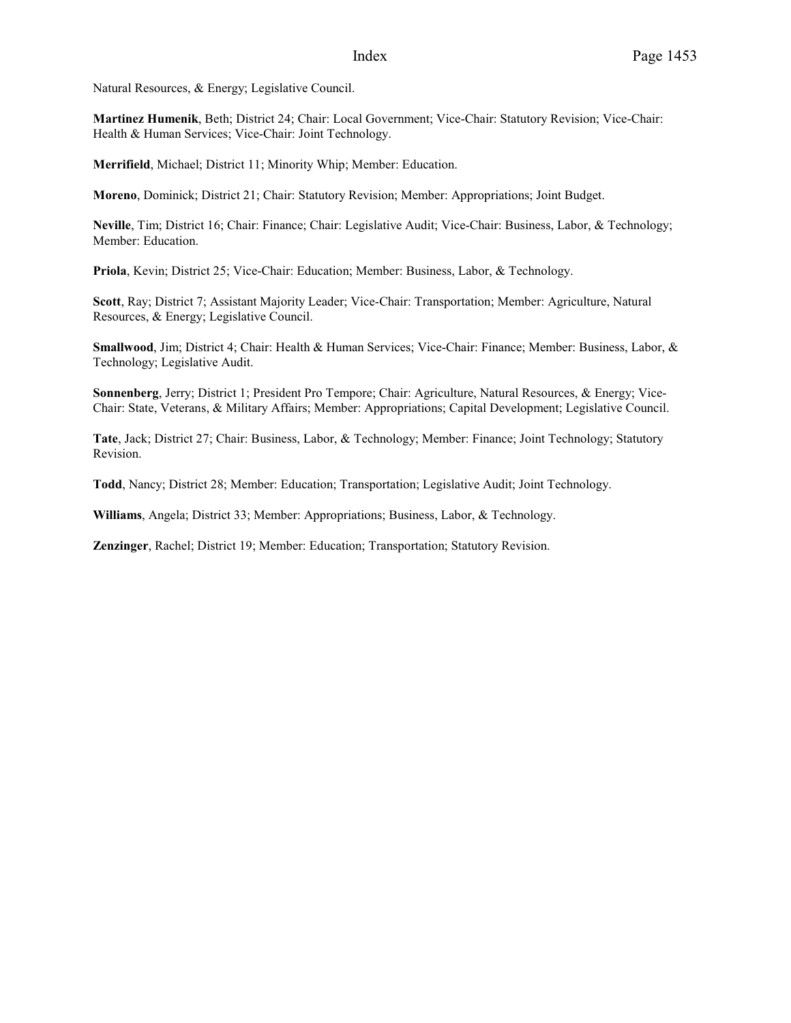Natural Resources, & Energy; Legislative Council.

**Martinez Humenik**, Beth; District 24; Chair: Local Government; Vice-Chair: Statutory Revision; Vice-Chair: Health & Human Services; Vice-Chair: Joint Technology.

**Merrifield**, Michael; District 11; Minority Whip; Member: Education.

**Moreno**, Dominick; District 21; Chair: Statutory Revision; Member: Appropriations; Joint Budget.

**Neville**, Tim; District 16; Chair: Finance; Chair: Legislative Audit; Vice-Chair: Business, Labor, & Technology; Member: Education.

**Priola**, Kevin; District 25; Vice-Chair: Education; Member: Business, Labor, & Technology.

**Scott**, Ray; District 7; Assistant Majority Leader; Vice-Chair: Transportation; Member: Agriculture, Natural Resources, & Energy; Legislative Council.

**Smallwood**, Jim; District 4; Chair: Health & Human Services; Vice-Chair: Finance; Member: Business, Labor, & Technology; Legislative Audit.

**Sonnenberg**, Jerry; District 1; President Pro Tempore; Chair: Agriculture, Natural Resources, & Energy; Vice-Chair: State, Veterans, & Military Affairs; Member: Appropriations; Capital Development; Legislative Council.

**Tate**, Jack; District 27; Chair: Business, Labor, & Technology; Member: Finance; Joint Technology; Statutory Revision.

**Todd**, Nancy; District 28; Member: Education; Transportation; Legislative Audit; Joint Technology.

**Williams**, Angela; District 33; Member: Appropriations; Business, Labor, & Technology.

**Zenzinger**, Rachel; District 19; Member: Education; Transportation; Statutory Revision.